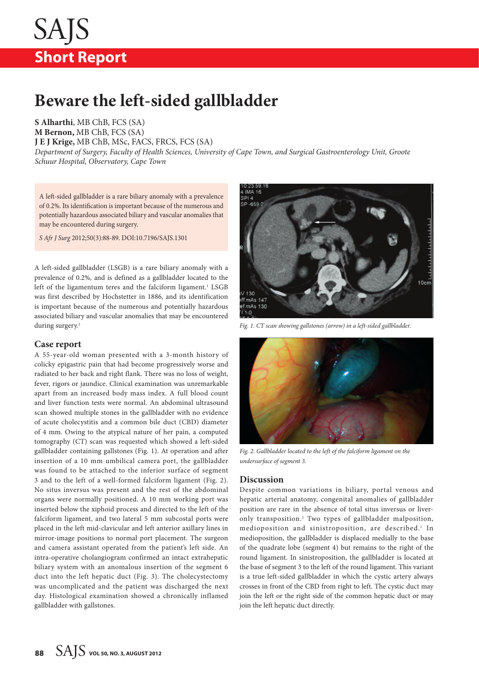## **Beware the left-sided gallbladder**

**S Alharthi**, MB ChB, FCS (SA)

**M Bernon,** MB ChB, FCS (SA)

**J E J Krige,** MB ChB, MSc, FACS, FRCS, FCS (SA)

*Department of Surgery, Faculty of Health Sciences, University of Cape Town, and Surgical Gastroenterology Unit, Groote Schuur Hospital, Observatory, Cape Town*

A left-sided gallbladder is a rare biliary anomaly with a prevalence of 0.2%. Its identification is important because of the numerous and potentially hazardous associated biliary and vascular anomalies that may be encountered during surgery.

*S Afr J Surg* 2012;50(3):88-89. DOI:10.7196/SAJS.1301

A left-sided gallbladder (LSGB) is a rare biliary anomaly with a prevalence of 0.2%, and is defined as a gallbladder located to the left of the ligamentum teres and the falciform ligament.<sup>1</sup> LSGB was first described by Hochstetter in 1886, and its identification is important because of the numerous and potentially hazardous associated biliary and vascular anomalies that may be encountered during surgery.<sup>2</sup>

## **Case report**

A 55-year-old woman presented with a 3-month history of colicky epigastric pain that had become progressively worse and radiated to her back and right flank. There was no loss of weight, fever, rigors or jaundice. Clinical examination was unremarkable apart from an increased body mass index. A full blood count and liver function tests were normal. An abdominal ultrasound scan showed multiple stones in the gallbladder with no evidence of acute cholecystitis and a common bile duct (CBD) diameter of 4 mm. Owing to the atypical nature of her pain, a computed tomography (CT) scan was requested which showed a left-sided gallbladder containing gallstones (Fig. 1). At operation and after insertion of a 10 mm umbilical camera port, the gallbladder was found to be attached to the inferior surface of segment 3 and to the left of a well-formed falciform ligament (Fig. 2). No situs inversus was present and the rest of the abdominal organs were normally positioned. A 10 mm working port was inserted below the xiphoid process and directed to the left of the falciform ligament, and two lateral 5 mm subcostal ports were placed in the left mid-clavicular and left anterior axillary lines in mirror-image positions to normal port placement. The surgeon and camera assistant operated from the patient's left side. An intra-operative cholangiogram confirmed an intact extrahepatic biliary system with an anomalous insertion of the segment 6 duct into the left hepatic duct (Fig. 3). The cholecystectomy was uncomplicated and the patient was discharged the next day. Histological examination showed a chronically inflamed gallbladder with gallstones.



*Fig. 1. CT scan showing gallstones (arrow) in a left-sided gallbladder.*



*Fig. 2. Gallbladder located to the left of the falciform ligament on the undersurface of segment 3.* 

## **Discussion**

Despite common variations in biliary, portal venous and hepatic arterial anatomy, congenital anomalies of gallbladder position are rare in the absence of total situs inversus or liveronly transposition.2 Two types of gallbladder malposition, medioposition and sinistroposition, are described.<sup>1</sup> In medioposition, the gallbladder is displaced medially to the base of the quadrate lobe (segment 4) but remains to the right of the round ligament. In sinistroposition, the gallbladder is located at the base of segment 3 to the left of the round ligament. This variant is a true left-sided gallbladder in which the cystic artery always crosses in front of the CBD from right to left. The cystic duct may join the left or the right side of the common hepatic duct or may join the left hepatic duct directly.